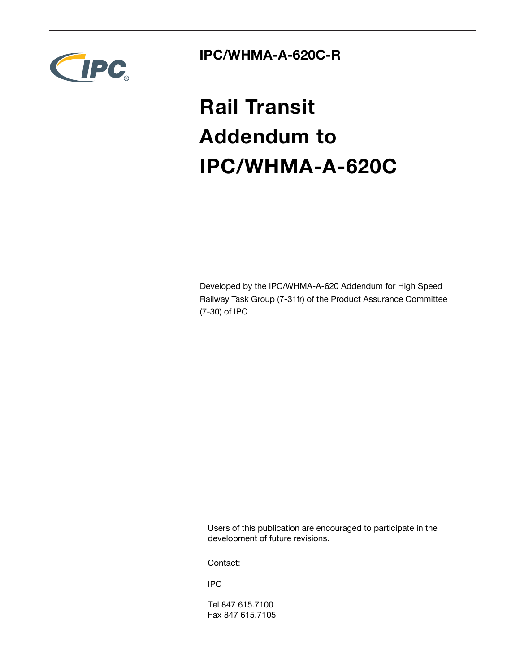

## **IPC/WHMA-A-620C-R**

# **Rail Transit Addendum to IPC/WHMA-A-620C**

Developed by the IPC/WHMA-A-620 Addendum for High Speed Railway Task Group (7-31fr) of the Product Assurance Committee (7-30) of IPC

Users of this publication are encouraged to participate in the development of future revisions.

Contact:

IPC

Tel 847 615.7100 Fax 847 615.7105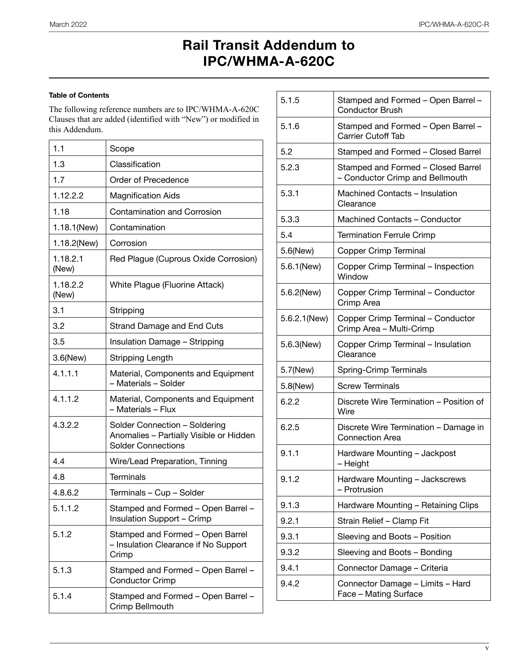## **Rail Transit Addendum to IPC/WHMA-A-620C**

## **Table of Contents**

The following reference numbers are to IPC/WHMA-A-620C Clauses that are added (identified with "New") or modified in this Addendum.

| 1.1               | Scope                                                                                                 |
|-------------------|-------------------------------------------------------------------------------------------------------|
| 1.3               | Classification                                                                                        |
| 1.7               | Order of Precedence                                                                                   |
| 1.12.2.2          | <b>Magnification Aids</b>                                                                             |
| 1.18              | <b>Contamination and Corrosion</b>                                                                    |
| 1.18.1(New)       | Contamination                                                                                         |
| 1.18.2(New)       | Corrosion                                                                                             |
| 1.18.2.1<br>(New) | Red Plague (Cuprous Oxide Corrosion)                                                                  |
| 1.18.2.2<br>(New) | White Plague (Fluorine Attack)                                                                        |
| 3.1               | Stripping                                                                                             |
| 3.2               | Strand Damage and End Cuts                                                                            |
| 3.5               | <b>Insulation Damage - Stripping</b>                                                                  |
| 3.6(New)          | Stripping Length                                                                                      |
| 4.1.1.1           | Material, Components and Equipment<br>- Materials - Solder                                            |
| 4.1.1.2           | Material, Components and Equipment<br>- Materials - Flux                                              |
| 4.3.2.2           | Solder Connection - Soldering<br>Anomalies - Partially Visible or Hidden<br><b>Solder Connections</b> |
| 4.4               | Wire/Lead Preparation, Tinning                                                                        |
| 4.8               | Terminals                                                                                             |
| 4.8.6.2           | Terminals - Cup - Solder                                                                              |
| 5.1.1.2           | Stamped and Formed - Open Barrel -<br>Insulation Support - Crimp                                      |
| 5.1.2             | Stamped and Formed - Open Barrel<br>- Insulation Clearance if No Support<br>Crimp                     |
| 5.1.3             | Stamped and Formed - Open Barrel -<br><b>Conductor Crimp</b>                                          |
| 5.1.4             | Stamped and Formed - Open Barrel -<br>Crimp Bellmouth                                                 |

| 5.1.5        | Stamped and Formed - Open Barrel -<br><b>Conductor Brush</b>          |
|--------------|-----------------------------------------------------------------------|
| 5.1.6        | Stamped and Formed - Open Barrel -<br><b>Carrier Cutoff Tab</b>       |
| 5.2          | Stamped and Formed - Closed Barrel                                    |
| 5.2.3        | Stamped and Formed - Closed Barrel<br>- Conductor Crimp and Bellmouth |
| 5.3.1        | Machined Contacts - Insulation<br>Clearance                           |
| 5.3.3        | Machined Contacts - Conductor                                         |
| 5.4          | <b>Termination Ferrule Crimp</b>                                      |
| 5.6(New)     | Copper Crimp Terminal                                                 |
| 5.6.1(New)   | Copper Crimp Terminal - Inspection<br>Window                          |
| 5.6.2(New)   | Copper Crimp Terminal - Conductor<br>Crimp Area                       |
| 5.6.2.1(New) | Copper Crimp Terminal - Conductor<br>Crimp Area - Multi-Crimp         |
| 5.6.3(New)   | Copper Crimp Terminal - Insulation<br>Clearance                       |
| 5.7(New)     | Spring-Crimp Terminals                                                |
| 5.8(New)     | <b>Screw Terminals</b>                                                |
| 6.2.2        | Discrete Wire Termination - Position of<br>Wire                       |
| 6.2.5        | Discrete Wire Termination - Damage in<br><b>Connection Area</b>       |
| 9.1.1        | Hardware Mounting - Jackpost<br>- Height                              |
| 9.1.2        | Hardware Mounting - Jackscrews<br>- Protrusion                        |
| 9.1.3        | Hardware Mounting - Retaining Clips                                   |
| 9.2.1        | Strain Relief - Clamp Fit                                             |
| 9.3.1        | Sleeving and Boots - Position                                         |
| 9.3.2        | Sleeving and Boots - Bonding                                          |
| 9.4.1        | Connector Damage - Criteria                                           |
| 9.4.2        | Connector Damage - Limits - Hard<br>Face - Mating Surface             |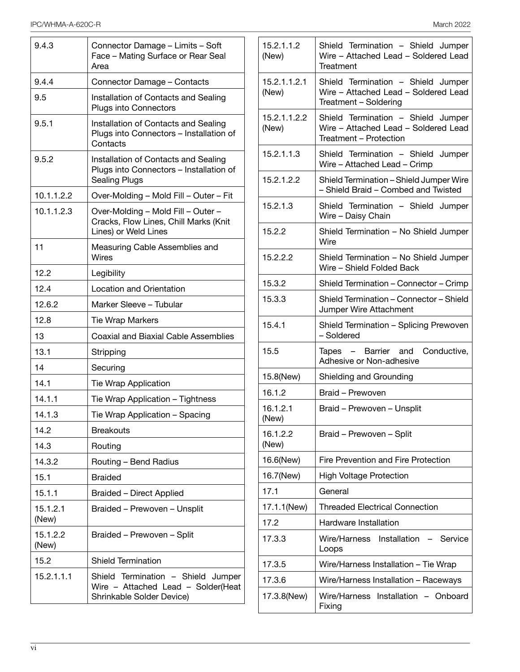| 9.4.3             | Connector Damage - Limits - Soft<br>Face - Mating Surface or Rear Seal<br>Area                          |
|-------------------|---------------------------------------------------------------------------------------------------------|
| 9.4.4             | Connector Damage - Contacts                                                                             |
| 9.5               | Installation of Contacts and Sealing<br>Plugs into Connectors                                           |
| 9.5.1             | Installation of Contacts and Sealing<br>Plugs into Connectors - Installation of<br>Contacts             |
| 9.5.2             | Installation of Contacts and Sealing<br>Plugs into Connectors - Installation of<br><b>Sealing Plugs</b> |
| 10.1.1.2.2        | Over-Molding - Mold Fill - Outer - Fit                                                                  |
| 10.1.1.2.3        | Over-Molding - Mold Fill - Outer -<br>Cracks, Flow Lines, Chill Marks (Knit<br>Lines) or Weld Lines     |
| 11                | Measuring Cable Assemblies and<br><b>Wires</b>                                                          |
| 12.2              | Legibility                                                                                              |
| 12.4              | Location and Orientation                                                                                |
| 12.6.2            | Marker Sleeve - Tubular                                                                                 |
| 12.8              | <b>Tie Wrap Markers</b>                                                                                 |
| 13                | <b>Coaxial and Biaxial Cable Assemblies</b>                                                             |
| 13.1              | Stripping                                                                                               |
| 14                | Securing                                                                                                |
| 14.1              | <b>Tie Wrap Application</b>                                                                             |
| 14.1.1            | Tie Wrap Application - Tightness                                                                        |
| 14.1.3            | Tie Wrap Application - Spacing                                                                          |
| 14.2              | <b>Breakouts</b>                                                                                        |
| 14.3              | Routing                                                                                                 |
| 14.3.2            | Routing - Bend Radius                                                                                   |
| 15.1              | <b>Braided</b>                                                                                          |
| 15.1.1            | Braided - Direct Applied                                                                                |
| 15.1.2.1<br>(New) | Braided - Prewoven - Unsplit                                                                            |
| 15.1.2.2<br>(New) | Braided - Prewoven - Split                                                                              |
| 15.2              | <b>Shield Termination</b>                                                                               |
| 15.2.1.1.1        | Shield Termination - Shield Jumper<br>Wire - Attached Lead - Solder(Heat<br>Shrinkable Solder Device)   |

| 15.2.1.1.2<br>(New)   | Shield Termination - Shield Jumper<br>Wire - Attached Lead - Soldered Lead<br>Treatment              |
|-----------------------|------------------------------------------------------------------------------------------------------|
| 15.2.1.1.2.1<br>(New) | Shield Termination - Shield Jumper<br>Wire - Attached Lead - Soldered Lead<br>Treatment - Soldering  |
| 15.2.1.1.2.2<br>(New) | Shield Termination - Shield Jumper<br>Wire - Attached Lead - Soldered Lead<br>Treatment - Protection |
| 15.2.1.1.3            | Shield Termination - Shield Jumper<br>Wire - Attached Lead - Crimp                                   |
| 15.2.1.2.2            | Shield Termination - Shield Jumper Wire<br>- Shield Braid - Combed and Twisted                       |
| 15.2.1.3              | Shield Termination - Shield Jumper<br>Wire - Daisy Chain                                             |
| 15.2.2                | Shield Termination - No Shield Jumper<br>Wire                                                        |
| 15.2.2.2              | Shield Termination - No Shield Jumper<br>Wire - Shield Folded Back                                   |
| 15.3.2                | Shield Termination - Connector - Crimp                                                               |
| 15.3.3                | Shield Termination - Connector - Shield<br>Jumper Wire Attachment                                    |
| 15.4.1                | Shield Termination - Splicing Prewoven<br>- Soldered                                                 |
| 15.5                  | Tapes - Barrier and Conductive,<br>Adhesive or Non-adhesive                                          |
| 15.8(New)             | Shielding and Grounding                                                                              |
| 16.1.2                | Braid - Prewoven                                                                                     |
| 16.1.2.1<br>(New)     | Braid - Prewoven - Unsplit                                                                           |
| 16.1.2.2<br>(New)     | Braid - Prewoven - Split                                                                             |
| 16.6(New)             | Fire Prevention and Fire Protection                                                                  |
| 16.7(New)             | High Voltage Protection                                                                              |
| 17.1                  | General                                                                                              |
| 17.1.1(New)           | <b>Threaded Electrical Connection</b>                                                                |
| 17.2                  | <b>Hardware Installation</b>                                                                         |
| 17.3.3                | Wire/Harness Installation<br>Service<br>Loops                                                        |
| 17.3.5                | Wire/Harness Installation - Tie Wrap                                                                 |
| 17.3.6                | Wire/Harness Installation - Raceways                                                                 |
| 17.3.8(New)           | Wire/Harness Installation - Onboard<br>Fixing                                                        |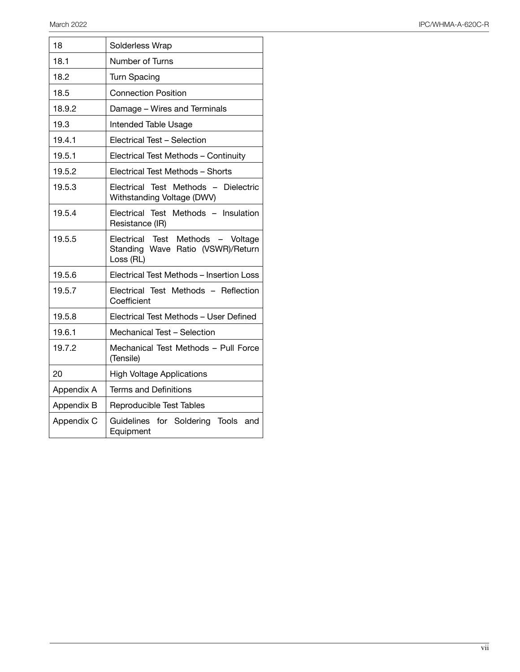| 18         | Solderless Wrap                                                                     |
|------------|-------------------------------------------------------------------------------------|
| 18.1       | Number of Turns                                                                     |
| 18.2       | <b>Turn Spacing</b>                                                                 |
| 18.5       | <b>Connection Position</b>                                                          |
| 18.9.2     | Damage - Wires and Terminals                                                        |
| 19.3       | <b>Intended Table Usage</b>                                                         |
| 19.4.1     | Electrical Test - Selection                                                         |
| 19.5.1     | Electrical Test Methods - Continuity                                                |
| 19.5.2     | Electrical Test Methods - Shorts                                                    |
| 19.5.3     | Electrical Test Methods - Dielectric<br>Withstanding Voltage (DWV)                  |
| 19.5.4     | Electrical Test Methods - Insulation<br>Resistance (IR)                             |
| 19.5.5     | Electrical Test Methods - Voltage<br>Standing Wave Ratio (VSWR)/Return<br>Loss (RL) |
| 19.5.6     | Electrical Test Methods - Insertion Loss                                            |
| 19.5.7     | Electrical Test Methods - Reflection<br>Coefficient                                 |
| 19.5.8     | Electrical Test Methods - User Defined                                              |
| 19.6.1     | Mechanical Test - Selection                                                         |
| 19.7.2     | Mechanical Test Methods - Pull Force<br>(Tensile)                                   |
| 20         | <b>High Voltage Applications</b>                                                    |
| Appendix A | <b>Terms and Definitions</b>                                                        |
| Appendix B | Reproducible Test Tables                                                            |
| Appendix C | Guidelines for Soldering Tools<br>and<br>Equipment                                  |

 $\overline{a}$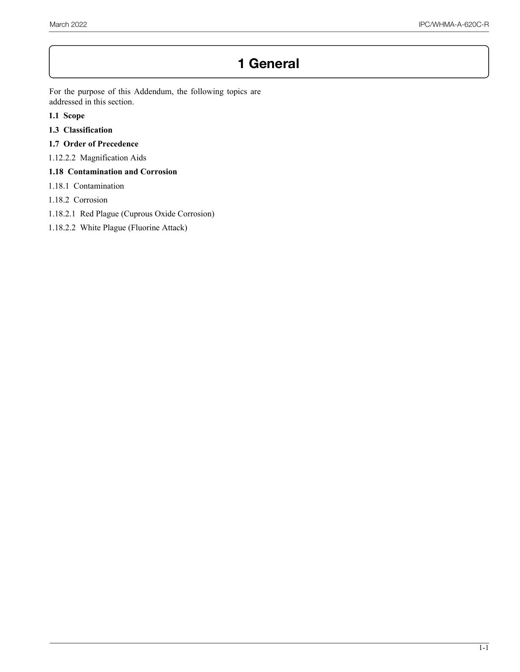## **1 General**

For the purpose of this Addendum, the following topics are addressed in this section.

- **1.1 Scope**
- **1.3 Classification**
- **1.7 Order of Precedence**
- 1.12.2.2 Magnification Aids

### **1.18 Contamination and Corrosion**

- 1.18.1 Contamination
- 1.18.2 Corrosion
- 1.18.2.1 Red Plague (Cuprous Oxide Corrosion)
- 1.18.2.2 White Plague (Fluorine Attack)